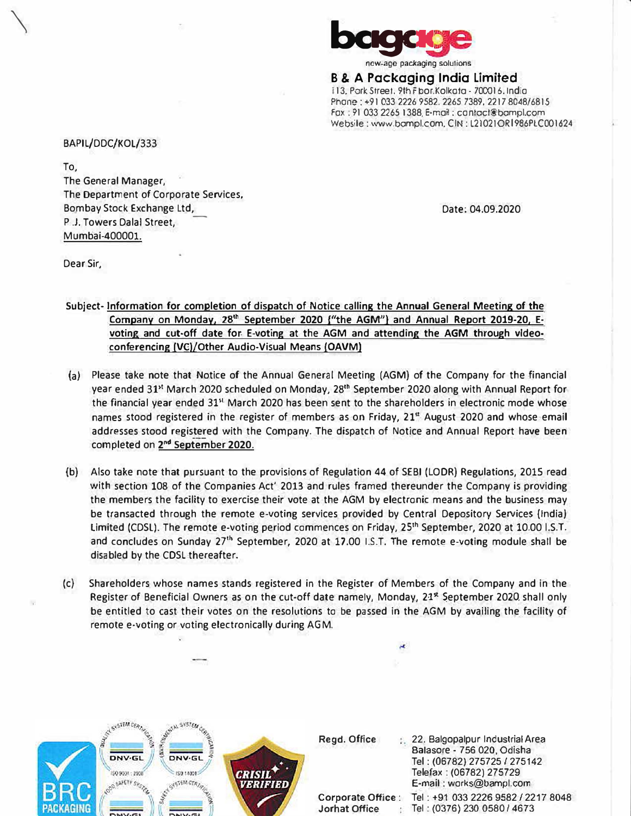

**B & A Packaging India Limited** i 13. Pork Street. 9th Floor.Kolkata - 700016. India Phone: +91 033 2226 9582. 2265 7389. 2217 8048/6815 fox: 91033 2265 1388. E-mail: confocf@bompl.com Websile: www.bompl.com. CIN: L2I02IORl986PlC001624

BAPIL/DDC/KOL/333

To,

 $\searrow$ 

The General Manager, The Department of Corporate Services, Bombay Stock Exchange Ltd,<br>P .J. Towers Dalal Street, Mumbai-400001.

Date: 04.09.2020

Dear Sir,

Subject· Information for completion of dispatch of Notice calling the Annual General Meeting of the Company on Monday, 28<sup>th</sup> September 2020 f<sup>"the AGM"</sup>] and Annual Report 2019-20, Evoting and cut-off date for E-voting at the AGM and attending the AGM through videoconferencing (VC)/Other Audio-Visual Means (OAVM)

- {a) Please take note that Notice of the Annual General Meeting (AGM) of the Company for the financial year ended 31" March 2020 scheduled on Monday, 28'" September 2020 along with Annual Report for the financial year ended 31'' March 2020 has been sent to the shareholders in electronic mode whose names stood registered in the register of members as on Friday, 21**st** August 2020 and whose email addresses stood registered with the Company. The dispatch of Notice and Annual Report have been completed on 2 **nd** Sepiember 2020.
- (b) Also take note that pursuant to the provisions of Regulation 44 of SEBI (LODR) Regulations, 2015 read with section 108 of the Companies Act' 2013 and rules framed thereunder the Company is providing the members the facility to exercise their vote at the AGM by electronic means and the business may be transacted through the remote e-voting services provided by Central Depository Services (India) Limited (CDSL). The remote e-voting period commences on Friday, 25**th** September, 2020 at 10.00 I.S.T. and concludes on Sunday 27<sup>th</sup> September, 2020 at 17.00 I.S.T. The remote e-voting module shall be disabled by the CDSL thereafter.
- (c) Shareholders whose names stands registered in the Register of Members of the Company and in the Register of Beneficial Owners as on the cut-off date namely, Monday, 21**st** September 2020 shall only be entitled to cast their votes on the resolutions to be passed in the AGM by availing the facility of remote e-voting or voting electronically during AGM.